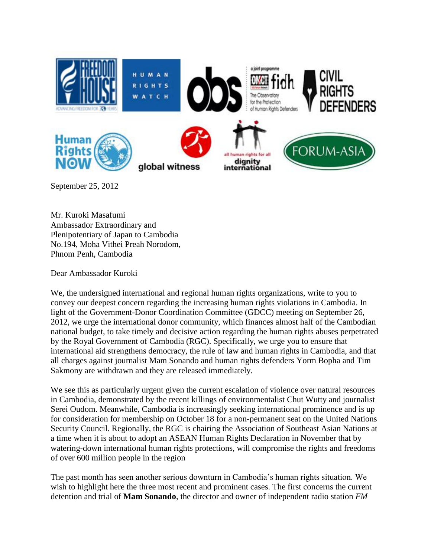

September 25, 2012

Mr. Kuroki Masafumi Ambassador Extraordinary and Plenipotentiary of Japan to Cambodia No.194, Moha Vithei Preah Norodom, Phnom Penh, Cambodia

Dear Ambassador Kuroki

We, the undersigned international and regional human rights organizations, write to you to convey our deepest concern regarding the increasing human rights violations in Cambodia. In light of the Government-Donor Coordination Committee (GDCC) meeting on September 26, 2012, we urge the international donor community, which finances almost half of the Cambodian national budget, to take timely and decisive action regarding the human rights abuses perpetrated by the Royal Government of Cambodia (RGC). Specifically, we urge you to ensure that international aid strengthens democracy, the rule of law and human rights in Cambodia, and that all charges against journalist Mam Sonando and human rights defenders Yorm Bopha and Tim Sakmony are withdrawn and they are released immediately.

We see this as particularly urgent given the current escalation of violence over natural resources in Cambodia, demonstrated by the recent killings of environmentalist Chut Wutty and journalist Serei Oudom. Meanwhile, Cambodia is increasingly seeking international prominence and is up for consideration for membership on October 18 for a non-permanent seat on the United Nations Security Council. Regionally, the RGC is chairing the Association of Southeast Asian Nations at a time when it is about to adopt an ASEAN Human Rights Declaration in November that by watering-down international human rights protections, will compromise the rights and freedoms of over 600 million people in the region

The past month has seen another serious downturn in Cambodia's human rights situation. We wish to highlight here the three most recent and prominent cases. The first concerns the current detention and trial of **Mam Sonando**, the director and owner of independent radio station *FM*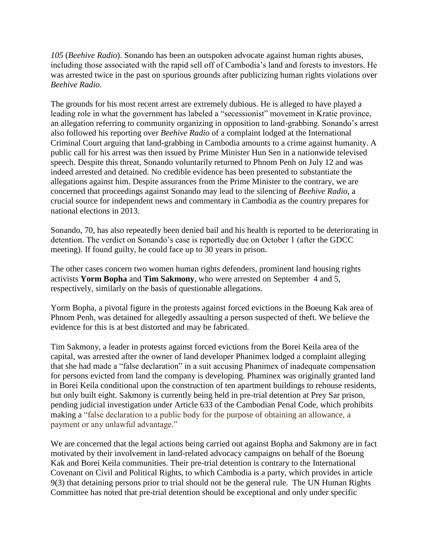*105* (*Beehive Radio*). Sonando has been an outspoken advocate against human rights abuses, including those associated with the rapid sell off of Cambodia's land and forests to investors. He was arrested twice in the past on spurious grounds after publicizing human rights violations over *Beehive Radio*.

The grounds for his most recent arrest are extremely dubious. He is alleged to have played a leading role in what the government has labeled a "secessionist" movement in Kratie province, an allegation referring to community organizing in opposition to land-grabbing. Sonando's arrest also followed his reporting over *Beehive Radio* of a complaint lodged at the International Criminal Court arguing that land-grabbing in Cambodia amounts to a crime against humanity. A public call for his arrest was then issued by Prime Minister Hun Sen in a nationwide televised speech. Despite this threat, Sonando voluntarily returned to Phnom Penh on July 12 and was indeed arrested and detained. No credible evidence has been presented to substantiate the allegations against him. Despite assurances from the Prime Minister to the contrary, we are concerned that proceedings against Sonando may lead to the silencing of *Beehive Radio*, a crucial source for independent news and commentary in Cambodia as the country prepares for national elections in 2013.

Sonando, 70, has also repeatedly been denied bail and his health is reported to be deteriorating in detention. The verdict on Sonando's case is reportedly due on October 1 (after the GDCC meeting). If found guilty, he could face up to 30 years in prison.

The other cases concern two women human rights defenders, prominent land housing rights activists **Yorm Bopha** and **Tim Sakmony**, who were arrested on September 4 and 5, respectively, similarly on the basis of questionable allegations.

Yorm Bopha, a pivotal figure in the protests against forced evictions in the Boeung Kak area of Phnom Penh, was detained for allegedly assaulting a person suspected of theft. We believe the evidence for this is at best distorted and may be fabricated.

Tim Sakmony, a leader in protests against forced evictions from the Borei Keila area of the capital, was arrested after the owner of land developer Phanimex lodged a complaint alleging that she had made a "false declaration" in a suit accusing Phanimex of inadequate compensation for persons evicted from land the company is developing. Phaminex was originally granted land in Borei Keila conditional upon the construction of ten apartment buildings to rehouse residents, but only built eight. Sakmony is currently being held in pre-trial detention at Prey Sar prison, pending judicial investigation under Article 633 of the Cambodian Penal Code, which prohibits making a "false declaration to a public body for the purpose of obtaining an allowance, a payment or any unlawful advantage."

We are concerned that the legal actions being carried out against Bopha and Sakmony are in fact motivated by their involvement in land-related advocacy campaigns on behalf of the Boeung Kak and Borei Keila communities. Their pre-trial detention is contrary to the International Covenant on Civil and Political Rights, to which Cambodia is a party, which provides in article 9(3) that detaining persons prior to trial should not be the general rule. The UN Human Rights Committee has noted that pre-trial detention should be exceptional and only under specific